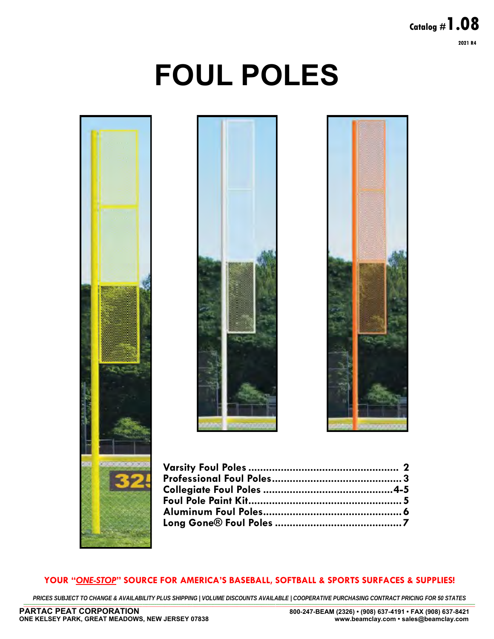## **Page 1 Catalog #1.08 2021 R4**

# **FOUL POLES**





#### **YOUR "***ONE-STOP***" SOURCE FOR AMERICA'S BASEBALL, SOFTBALL & SPORTS SURFACES & SUPPLIES!**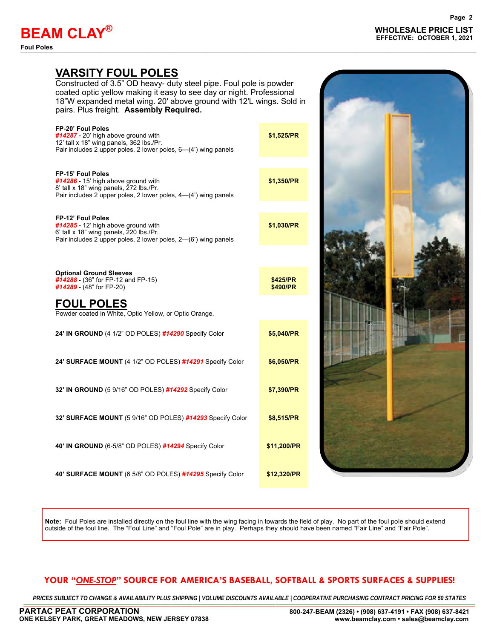**Foul Poles** —————————————————————————————————————–———————————————————

### **VARSITY FOUL POLES**

Constructed of 3.5" OD heavy- duty steel pipe. Foul pole is powder coated optic yellow making it easy to see day or night. Professional 18"W expanded metal wing. 20' above ground with 12'L wings. Sold in pairs. Plus freight. **Assembly Required.** 

| FP-20' Foul Poles<br>#14287 - 20' high above ground with<br>12' tall x 18" wing panels, 362 lbs./Pr.<br>Pair includes 2 upper poles, 2 lower poles, 6-(4') wing panels       | \$1,525/PR           |  |
|------------------------------------------------------------------------------------------------------------------------------------------------------------------------------|----------------------|--|
| <b>FP-15' Foul Poles</b><br>#14286 - 15' high above ground with<br>8' tall x 18" wing panels, 272 lbs./Pr.<br>Pair includes 2 upper poles, 2 lower poles, 4-(4') wing panels | \$1,350/PR           |  |
| <b>FP-12' Foul Poles</b><br>#14285 - 12' high above ground with<br>6' tall x 18" wing panels, 220 lbs./Pr.<br>Pair includes 2 upper poles, 2 lower poles, 2-(6') wing panels | \$1,030/PR           |  |
|                                                                                                                                                                              |                      |  |
| <b>Optional Ground Sleeves</b><br>#14288 - (36" for FP-12 and FP-15)<br>#14289 - $(48"$ for FP-20)                                                                           | \$425/PR<br>\$490/PR |  |
| <b>FOUL POLES</b><br>Powder coated in White, Optic Yellow, or Optic Orange.                                                                                                  |                      |  |
| 24' IN GROUND (4 1/2" OD POLES) #14290 Specify Color                                                                                                                         | \$5,040/PR           |  |
| 24' SURFACE MOUNT (4 1/2" OD POLES) #14291 Specify Color                                                                                                                     | \$6,050/PR           |  |
| 32' IN GROUND (5 9/16" OD POLES) #14292 Specify Color                                                                                                                        | \$7,390/PR           |  |
| 32' SURFACE MOUNT (5 9/16" OD POLES) #14293 Specify Color                                                                                                                    | \$8,515/PR           |  |
| 40' IN GROUND (6-5/8" OD POLES) #14294 Specify Color                                                                                                                         | \$11,200/PR          |  |
| 40' SURFACE MOUNT (6 5/8" OD POLES) #14295 Specify Color                                                                                                                     | \$12,320/PR          |  |

**Note:** Foul Poles are installed directly on the foul line with the wing facing in towards the field of play. No part of the foul pole should extend outside of the foul line. The "Foul Line" and "Foul Pole" are in play. Perhaps they should have been named "Fair Line" and "Fair Pole".

#### **YOUR "***ONE-STOP***" SOURCE FOR AMERICA'S BASEBALL, SOFTBALL & SPORTS SURFACES & SUPPLIES!**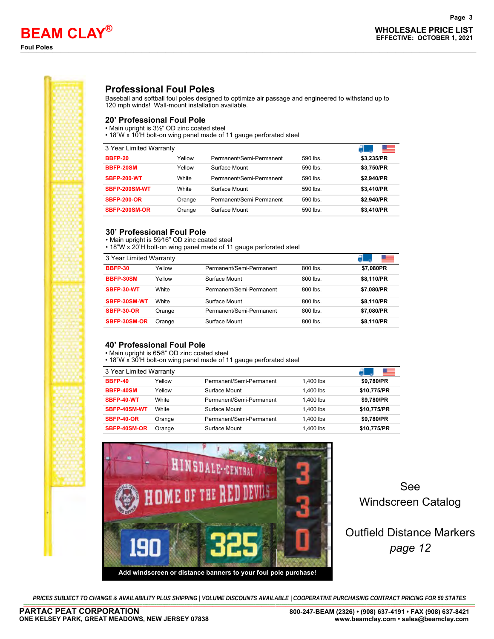

#### **Professional Foul Poles**

Baseball and softball foul poles designed to optimize air passage and engineered to withstand up to 120 mph winds! Wall-mount installation available.

#### **20' Professional Foul Pole**

• Main upright is 3½" OD zinc coated steel

• 18"W x 10'H bolt-on wing panel made of 11 gauge perforated steel

| 3 Year Limited Warranty |        |                          |          | - - -      |
|-------------------------|--------|--------------------------|----------|------------|
| <b>BBFP-20</b>          | Yellow | Permanent/Semi-Permanent | 590 lbs. | \$3,235/PR |
| BBFP-20SM               | Yellow | Surface Mount            | 590 lbs. | \$3.750/PR |
| <b>SBFP-200-WT</b>      | White  | Permanent/Semi-Permanent | 590 lbs. | \$2.940/PR |
| SBFP-200SM-WT           | White  | Surface Mount            | 590 lbs. | \$3,410/PR |
| <b>SBFP-200-OR</b>      | Orange | Permanent/Semi-Permanent | 590 lbs. | \$2.940/PR |
| SBFP-200SM-OR           | Orange | Surface Mount            | 590 lbs. | \$3,410/PR |

#### **30' Professional Foul Pole**

• Main upright is 59∕16" OD zinc coated steel

• 18"W x 20'H bolt-on wing panel made of 11 gauge perforated steel

| 3 Year Limited Warranty |        |                          |          |            |
|-------------------------|--------|--------------------------|----------|------------|
| <b>BBFP-30</b>          | Yellow | Permanent/Semi-Permanent | 800 lbs. | \$7,080PR  |
| BBFP-30SM               | Yellow | Surface Mount            | 800 lbs. | \$8.110/PR |
| SBFP-30-WT              | White  | Permanent/Semi-Permanent | 800 lbs. | \$7,080/PR |
| SBFP-30SM-WT            | White  | Surface Mount            | 800 lbs. | \$8.110/PR |
| <b>SBFP-30-OR</b>       | Orange | Permanent/Semi-Permanent | 800 lbs. | \$7,080/PR |
| SBFP-30SM-OR            | Orange | Surface Mount            | 800 lbs. | \$8,110/PR |

#### **40' Professional Foul Pole**

• Main upright is 65∕8" OD zinc coated steel

• 18"W x 30'H bolt-on wing panel made of 11 gauge perforated steel

| 3 Year Limited Warranty |        |                          |           |             |
|-------------------------|--------|--------------------------|-----------|-------------|
| <b>BBFP-40</b>          | Yellow | Permanent/Semi-Permanent | 1.400 lbs | \$9,780/PR  |
| BBFP-40SM               | Yellow | Surface Mount            | 1.400 lbs | \$10.775/PR |
| SBFP-40-WT              | White  | Permanent/Semi-Permanent | 1.400 lbs | \$9,780/PR  |
| SBFP-40SM-WT            | White  | Surface Mount            | 1.400 lbs | \$10,775/PR |
| SBFP-40-OR              | Orange | Permanent/Semi-Permanent | 1.400 lbs | \$9,780/PR  |
| SBFP-40SM-OR            | Orange | Surface Mount            | 1.400 lbs | \$10,775/PR |



See Windscreen Catalog

## Outfield Distance Markers *page 12*

PRICES SUBJECT TO CHANGE & AVAILABILITY PLUS SHIPPING | VOLUME DISCOUNTS AVAILABLE | COOPERATIVE PURCHASING CONTRACT PRICING FOR 50 STATES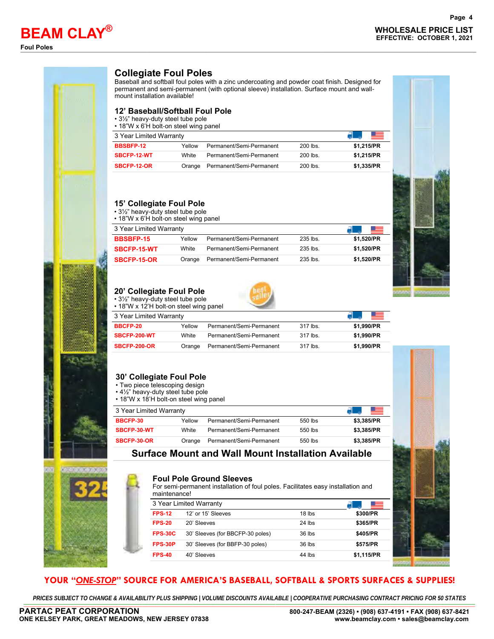## **WHOLESALE PRICE LIST BEAM CLAY EFFECTIVE: OCTOBER 1, 2021 ®**





#### **Collegiate Foul Poles**

Baseball and softball foul poles with a zinc undercoating and powder coat finish. Designed for permanent and semi-permanent (with optional sleeve) installation. Surface mount and wallmount installation available!

#### **12' Baseball/Softball Foul Pole**

• 3½" heavy-duty steel tube pole

• 18"W x 6'H bolt-on steel wing panel

| 3 Year Limited Warranty |        |                          |            |            |
|-------------------------|--------|--------------------------|------------|------------|
| BBSBFP-12               | Yellow | Permanent/Semi-Permanent | $200$ lbs. | \$1.215/PR |
| SBCFP-12-WT             | White  | Permanent/Semi-Permanent | $200$ lbs. | \$1.215/PR |
| SBCFP-12-OR             | Orange | Permanent/Semi-Permanent | $200$ lbs. | \$1.335/PR |

#### **15' Collegiate Foul Pole**

• 3½" heavy-duty steel tube pole

• 18"W x 6'H bolt-on steel wing panel

| 3 Year Limited Warranty |        |                          |            |            |
|-------------------------|--------|--------------------------|------------|------------|
| <b>BBSBFP-15</b>        | Yellow | Permanent/Semi-Permanent | 235 lbs.   | \$1.520/PR |
| SBCFP-15-WT             | White  | Permanent/Semi-Permanent | $235$ lbs. | \$1.520/PR |
| SBCFP-15-OR             | Orange | Permanent/Semi-Permanent | $235$ lbs. | \$1.520/PR |
|                         |        |                          |            |            |



#### **20' Collegiate Foul Pole**

• 3½" heavy-duty steel tube pole • 18"W x 12'H bolt-on steel wing panel



| 3 Year Limited Warranty |        |                          |          |            |
|-------------------------|--------|--------------------------|----------|------------|
| <b>BBCFP-20</b>         | Yellow | Permanent/Semi-Permanent | 317 lbs. | \$1.990/PR |
| <b>SBCFP-200-WT</b>     | White  | Permanent/Semi-Permanent | 317 lbs. | \$1.990/PR |
| <b>SBCFP-200-OR</b>     | Orange | Permanent/Semi-Permanent | 317 lbs. | \$1.990/PR |

#### **30' Collegiate Foul Pole**

- Two piece telescoping design
- 4½" heavy-duty steel tube pole
- 18"W x 18'H bolt-on steel wing panel

| 3 Year Limited Warranty |              |                          |           |            |
|-------------------------|--------------|--------------------------|-----------|------------|
| BBCFP-30                | Yellow       | Permanent/Semi-Permanent | 550 lbs   | \$3.385/PR |
| SBCFP-30-WT             | <b>White</b> | Permanent/Semi-Permanent | $550$ lbs | \$3.385/PR |
| SBCFP-30-OR             | Orange       | Permanent/Semi-Permanent | 550 lbs   | \$3.385/PR |

#### **Surface Mount and Wall Mount Installation Available**

#### **Foul Pole Ground Sleeves**

For semi-permanent installation of foul poles. Facilitates easy installation and

| maintenance!   |                                  |          |            |
|----------------|----------------------------------|----------|------------|
|                | 3 Year Limited Warranty          |          |            |
| <b>FPS-12</b>  | 12' or 15' Sleeves               | $18$ lbs | \$300/PR   |
| <b>FPS-20</b>  | 20' Sleeves                      | $24$ lbs | \$365/PR   |
| <b>FPS-30C</b> | 30' Sleeves (for BBCFP-30 poles) | $36$ lbs | \$405/PR   |
| FPS-30P        | 30' Sleeves (for BBFP-30 poles)  | $36$ lbs | \$575/PR   |
| <b>FPS-40</b>  | 40' Sleeves                      | 44 lbs   | \$1,115/PR |

#### **YOUR "***ONE-STOP***" SOURCE FOR AMERICA'S BASEBALL, SOFTBALL & SPORTS SURFACES & SUPPLIES!**

PRICES SUBJECT TO CHANGE & AVAILABILITY PLUS SHIPPING | VOLUME DISCOUNTS AVAILABLE | COOPERATIVE PURCHASING CONTRACT PRICING FOR 50 STATES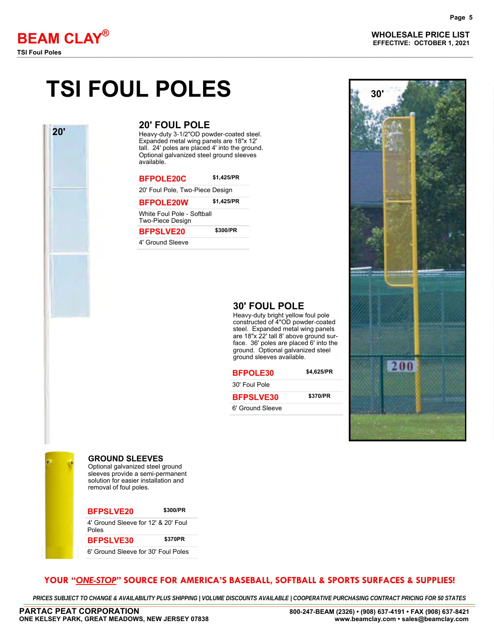**20'**

**WHOLESALE PRICE LIST BEAM CLAY EFFECTIVE: OCTOBER 1, 2021 ®**

## **TSI FOUL POLES**

#### **20' FOUL POLE**

Heavy-duty 3-1/2"OD powder-coated steel. Expanded metal wing panels are 18"x 12' tall. 24' poles are placed 4' into the ground. Optional galvanized steel ground sleeves available.

| <b>BFPOLE20C</b>                               | \$1.425/PR |
|------------------------------------------------|------------|
| 20' Foul Pole, Two-Piece Design                |            |
| <b>BFPOLE20W</b>                               | \$1,425/PR |
| White Foul Pole - Softball<br>Two-Piece Design |            |
| <b>BFPSLVE20</b>                               | \$300/PR   |
| 4' Ground Sleeve                               |            |



#### **30' FOUL POLE**

Heavy-duty bright yellow foul pole constructed of 4"OD powder-coated steel. Expanded metal wing panels are 18"x 22' tall 8' above ground surface. 36' poles are placed 6' into the ground. Optional galvanized steel ground sleeves available.





#### **GROUND SLEEVES**

Optional galvanized steel ground sleeves provide a semi-permanent solution for easier installation and removal of foul poles.

## **BFPSLVE20 \$300/PR**

4' Ground Sleeve for 12' & 20' Foul

#### **BFPSLVE30 \$370PR**

6' Ground Sleeve for 30' Foul Poles

#### **YOUR "***ONE-STOP***" SOURCE FOR AMERICA'S BASEBALL, SOFTBALL & SPORTS SURFACES & SUPPLIES!**

PRICES SUBJECT TO CHANGE & AVAILABILITY PLUS SHIPPING | VOLUME DISCOUNTS AVAILABLE | COOPERATIVE PURCHASING CONTRACT PRICING FOR 50 STATES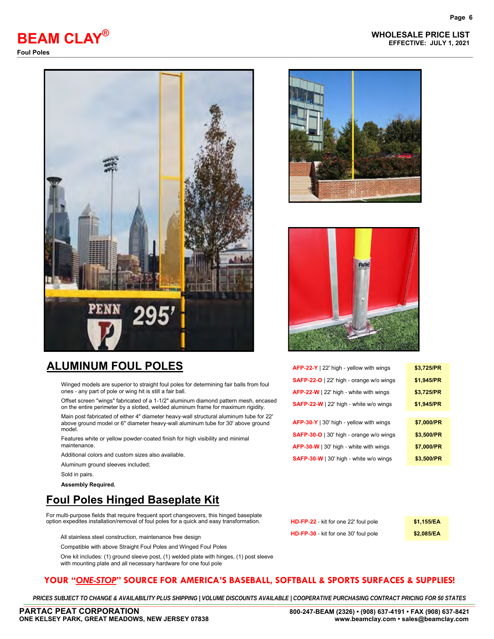



## **ALUMINUM FOUL POLES**

Winged models are superior to straight foul poles for determining fair balls from foul ones - any part of pole or wing hit is still a fair ball.

Offset screen "wings" fabricated of a 1-1/2" aluminum diamond pattern mesh, encased on the entire perimeter by a slotted, welded aluminum frame for maximum rigidity.

Main post fabricated of either 4" diameter heavy-wall structural aluminum tube for 22' above ground model or 6" diameter heavy-wall aluminum tube for 30' above ground model

Features white or yellow powder-coated finish for high visibility and minimal maintenance.

Additional colors and custom sizes also available.

Aluminum ground sleeves included;

Sold in pairs.

**Assembly Required.** 

## **Foul Poles Hinged Baseplate Kit**

For multi-purpose fields that require frequent sport changeovers, this hinged baseplate option expedites installation/removal of foul poles for a quick and easy transformation.

All stainless steel construction, maintenance free design

Compatible with above Straight Foul Poles and Winged Foul Poles

One kit includes: (1) ground sleeve post, (1) welded plate with hinges, (1) post sleeve with mounting plate and all necessary hardware for one foul pole





| AFP-22-Y   22' high - yellow with wings | \$3,725/PR |
|-----------------------------------------|------------|
| SAFP-22-O   22' high - orange w/o wings | \$1,945/PR |
| AFP-22-W   22' high - white with wings  | \$3,725/PR |
| SAFP-22-W   22' high - white w/o wings  | \$1,945/PR |
|                                         |            |
| AFP-30-Y   30' high - yellow with wings | \$7,000/PR |
| SAFP-30-O   30' high - orange w/o wings | \$3,500/PR |
| AFP-30-W   30' high - white with wings  | \$7,000/PR |
| SAFP-30-W   30' high - white w/o wings  | \$3,500/PR |
|                                         |            |

| HD-FP-22 - kit for one 22' foul pole | \$1,155/EA |
|--------------------------------------|------------|
| HD-FP-30 - kit for one 30' foul pole | \$2,085/EA |

#### **YOUR "***ONE-STOP***" SOURCE FOR AMERICA'S BASEBALL, SOFTBALL & SPORTS SURFACES & SUPPLIES!**